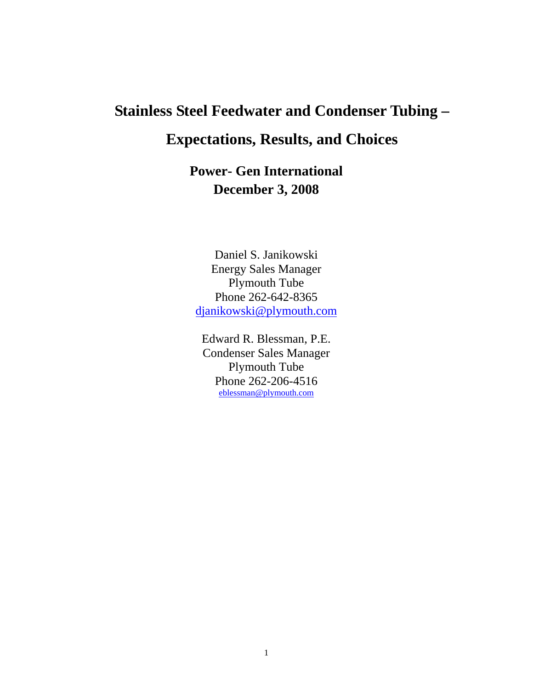# **Stainless Steel Feedwater and Condenser Tubing –**

# **Expectations, Results, and Choices**

**Power- Gen International December 3, 2008** 

Daniel S. Janikowski Energy Sales Manager Plymouth Tube Phone 262-642-8365 djanikowski@plymouth.com

Edward R. Blessman, P.E. Condenser Sales Manager Plymouth Tube Phone 262-206-4516 eblessman@plymouth.com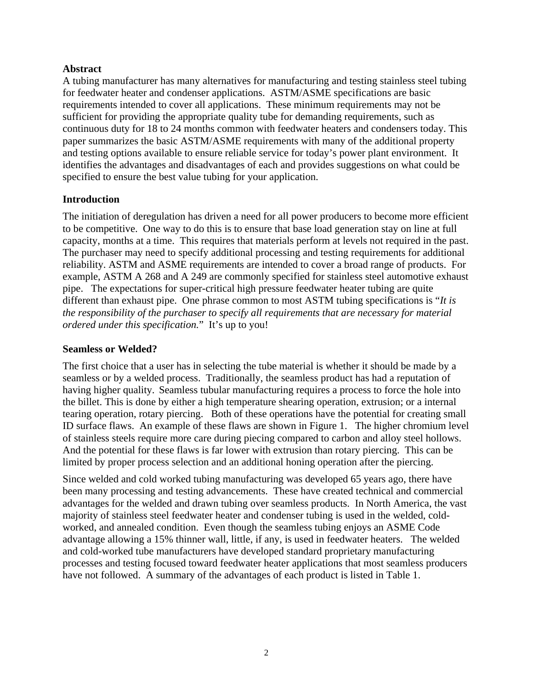#### **Abstract**

A tubing manufacturer has many alternatives for manufacturing and testing stainless steel tubing for feedwater heater and condenser applications. ASTM/ASME specifications are basic requirements intended to cover all applications. These minimum requirements may not be sufficient for providing the appropriate quality tube for demanding requirements, such as continuous duty for 18 to 24 months common with feedwater heaters and condensers today. This paper summarizes the basic ASTM/ASME requirements with many of the additional property and testing options available to ensure reliable service for today's power plant environment. It identifies the advantages and disadvantages of each and provides suggestions on what could be specified to ensure the best value tubing for your application.

#### **Introduction**

The initiation of deregulation has driven a need for all power producers to become more efficient to be competitive. One way to do this is to ensure that base load generation stay on line at full capacity, months at a time. This requires that materials perform at levels not required in the past. The purchaser may need to specify additional processing and testing requirements for additional reliability. ASTM and ASME requirements are intended to cover a broad range of products. For example, ASTM A 268 and A 249 are commonly specified for stainless steel automotive exhaust pipe. The expectations for super-critical high pressure feedwater heater tubing are quite different than exhaust pipe. One phrase common to most ASTM tubing specifications is "*It is the responsibility of the purchaser to specify all requirements that are necessary for material ordered under this specification.*" It's up to you!

#### **Seamless or Welded?**

The first choice that a user has in selecting the tube material is whether it should be made by a seamless or by a welded process. Traditionally, the seamless product has had a reputation of having higher quality. Seamless tubular manufacturing requires a process to force the hole into the billet. This is done by either a high temperature shearing operation, extrusion; or a internal tearing operation, rotary piercing. Both of these operations have the potential for creating small ID surface flaws. An example of these flaws are shown in Figure 1. The higher chromium level of stainless steels require more care during piecing compared to carbon and alloy steel hollows. And the potential for these flaws is far lower with extrusion than rotary piercing. This can be limited by proper process selection and an additional honing operation after the piercing.

Since welded and cold worked tubing manufacturing was developed 65 years ago, there have been many processing and testing advancements. These have created technical and commercial advantages for the welded and drawn tubing over seamless products. In North America, the vast majority of stainless steel feedwater heater and condenser tubing is used in the welded, coldworked, and annealed condition. Even though the seamless tubing enjoys an ASME Code advantage allowing a 15% thinner wall, little, if any, is used in feedwater heaters. The welded and cold-worked tube manufacturers have developed standard proprietary manufacturing processes and testing focused toward feedwater heater applications that most seamless producers have not followed. A summary of the advantages of each product is listed in Table 1.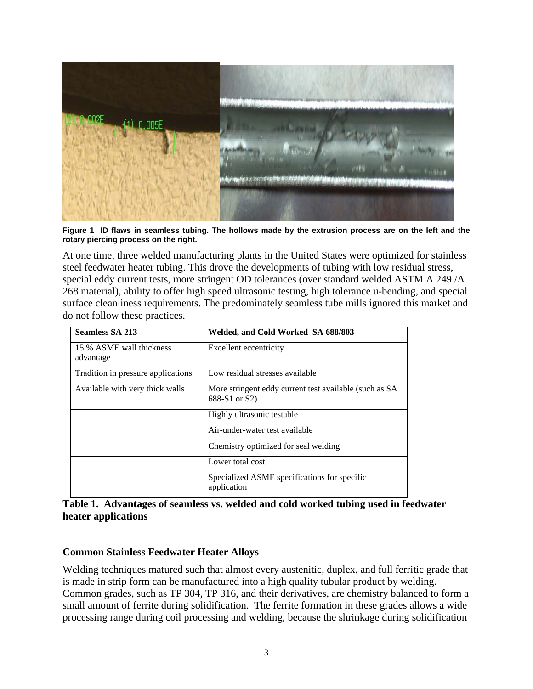

**Figure 1 ID flaws in seamless tubing. The hollows made by the extrusion process are on the left and the rotary piercing process on the right.** 

At one time, three welded manufacturing plants in the United States were optimized for stainless steel feedwater heater tubing. This drove the developments of tubing with low residual stress, special eddy current tests, more stringent OD tolerances (over standard welded ASTM A 249 /A 268 material), ability to offer high speed ultrasonic testing, high tolerance u-bending, and special surface cleanliness requirements. The predominately seamless tube mills ignored this market and do not follow these practices.

| <b>Seamless SA 213</b>                | Welded, and Cold Worked SA 688/803                                      |  |  |  |
|---------------------------------------|-------------------------------------------------------------------------|--|--|--|
| 15 % ASME wall thickness<br>advantage | Excellent eccentricity                                                  |  |  |  |
| Tradition in pressure applications    | Low residual stresses available                                         |  |  |  |
| Available with very thick walls       | More stringent eddy current test available (such as SA<br>688-S1 or S2) |  |  |  |
|                                       | Highly ultrasonic testable                                              |  |  |  |
|                                       | Air-under-water test available                                          |  |  |  |
|                                       | Chemistry optimized for seal welding                                    |  |  |  |
|                                       | Lower total cost                                                        |  |  |  |
|                                       | Specialized ASME specifications for specific<br>application             |  |  |  |

**Table 1. Advantages of seamless vs. welded and cold worked tubing used in feedwater heater applications** 

#### **Common Stainless Feedwater Heater Alloys**

Welding techniques matured such that almost every austenitic, duplex, and full ferritic grade that is made in strip form can be manufactured into a high quality tubular product by welding. Common grades, such as TP 304, TP 316, and their derivatives, are chemistry balanced to form a small amount of ferrite during solidification. The ferrite formation in these grades allows a wide processing range during coil processing and welding, because the shrinkage during solidification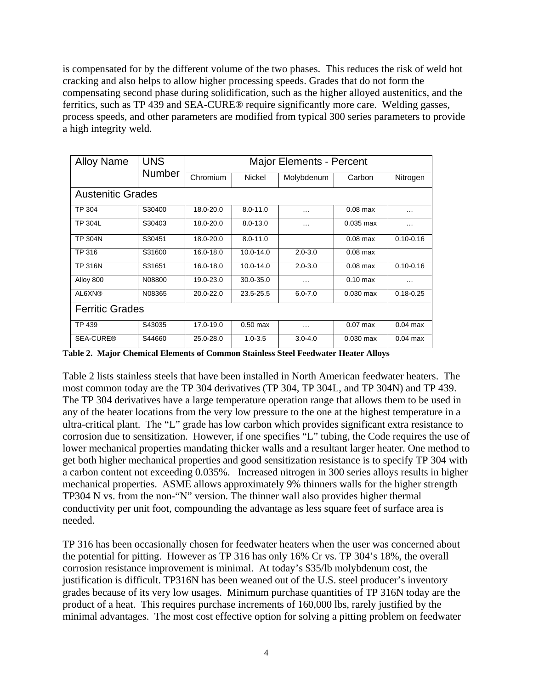is compensated for by the different volume of the two phases. This reduces the risk of weld hot cracking and also helps to allow higher processing speeds. Grades that do not form the compensating second phase during solidification, such as the higher alloyed austenitics, and the ferritics, such as TP 439 and SEA-CURE® require significantly more care. Welding gasses, process speeds, and other parameters are modified from typical 300 series parameters to provide a high integrity weld.

| <b>Alloy Name</b>        | <b>UNS</b>    | <b>Major Elements - Percent</b> |                      |             |                    |               |  |
|--------------------------|---------------|---------------------------------|----------------------|-------------|--------------------|---------------|--|
|                          | <b>Number</b> | Chromium                        | Nickel<br>Molybdenum |             | Carbon             | Nitrogen      |  |
| <b>Austenitic Grades</b> |               |                                 |                      |             |                    |               |  |
| <b>TP 304</b>            | S30400        | 18.0-20.0                       | $8.0 - 11.0$         | $\cdots$    | $0.08$ max         | .             |  |
| <b>TP 304L</b>           | S30403        | 18.0-20.0                       | $8.0 - 13.0$         | .           | $0.035$ max        | .             |  |
| <b>TP 304N</b>           | S30451        | 18.0-20.0                       | $8.0 - 11.0$         |             | $0.08$ max         | $0.10 - 0.16$ |  |
| TP 316                   | S31600        | 16.0-18.0                       | 10.0-14.0            | $2.0 - 3.0$ | $0.08$ max         |               |  |
| <b>TP 316N</b>           | S31651        | 16.0-18.0                       | 10.0-14.0            | $2.0 - 3.0$ | $0.08$ max         | $0.10 - 0.16$ |  |
| Alloy 800                | N08800        | 19.0-23.0                       | 30.0-35.0            | $\cdots$    | $0.10 \text{ max}$ | $\cdots$      |  |
| AL6XN®                   | N08365        | 20.0-22.0                       | 23.5-25.5            | $6.0 - 7.0$ | $0.030$ max        | $0.18 - 0.25$ |  |
| <b>Ferritic Grades</b>   |               |                                 |                      |             |                    |               |  |
| TP 439                   | S43035        | 17.0-19.0                       | $0.50$ max           | $\cdots$    | $0.07$ max         | $0.04$ max    |  |
| <b>SEA-CURE®</b>         | S44660        | 25.0-28.0                       | $1.0 - 3.5$          | $3.0 - 4.0$ | $0.030$ max        | $0.04$ max    |  |

**Table 2. Major Chemical Elements of Common Stainless Steel Feedwater Heater Alloys** 

Table 2 lists stainless steels that have been installed in North American feedwater heaters. The most common today are the TP 304 derivatives (TP 304, TP 304L, and TP 304N) and TP 439. The TP 304 derivatives have a large temperature operation range that allows them to be used in any of the heater locations from the very low pressure to the one at the highest temperature in a ultra-critical plant. The "L" grade has low carbon which provides significant extra resistance to corrosion due to sensitization. However, if one specifies "L" tubing, the Code requires the use of lower mechanical properties mandating thicker walls and a resultant larger heater. One method to get both higher mechanical properties and good sensitization resistance is to specify TP 304 with a carbon content not exceeding 0.035%. Increased nitrogen in 300 series alloys results in higher mechanical properties. ASME allows approximately 9% thinners walls for the higher strength TP304 N vs. from the non-"N" version. The thinner wall also provides higher thermal conductivity per unit foot, compounding the advantage as less square feet of surface area is needed.

TP 316 has been occasionally chosen for feedwater heaters when the user was concerned about the potential for pitting. However as TP 316 has only 16% Cr vs. TP 304's 18%, the overall corrosion resistance improvement is minimal. At today's \$35/lb molybdenum cost, the justification is difficult. TP316N has been weaned out of the U.S. steel producer's inventory grades because of its very low usages. Minimum purchase quantities of TP 316N today are the product of a heat. This requires purchase increments of 160,000 lbs, rarely justified by the minimal advantages. The most cost effective option for solving a pitting problem on feedwater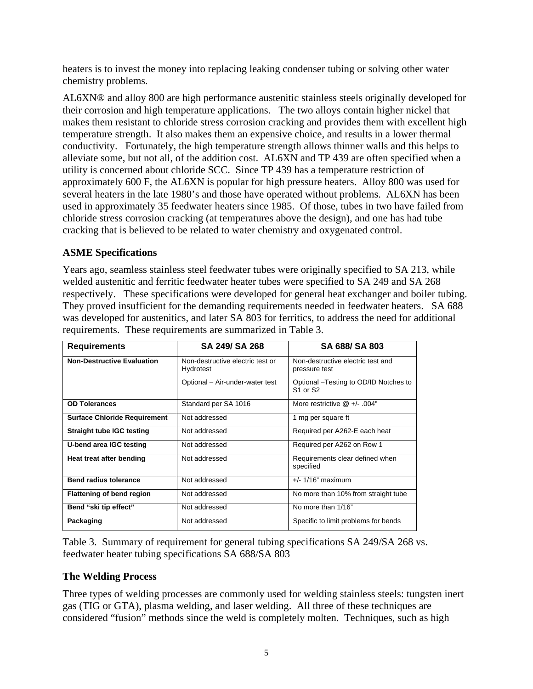heaters is to invest the money into replacing leaking condenser tubing or solving other water chemistry problems.

AL6XN® and alloy 800 are high performance austenitic stainless steels originally developed for their corrosion and high temperature applications. The two alloys contain higher nickel that makes them resistant to chloride stress corrosion cracking and provides them with excellent high temperature strength. It also makes them an expensive choice, and results in a lower thermal conductivity. Fortunately, the high temperature strength allows thinner walls and this helps to alleviate some, but not all, of the addition cost. AL6XN and TP 439 are often specified when a utility is concerned about chloride SCC. Since TP 439 has a temperature restriction of approximately 600 F, the AL6XN is popular for high pressure heaters. Alloy 800 was used for several heaters in the late 1980's and those have operated without problems. AL6XN has been used in approximately 35 feedwater heaters since 1985. Of those, tubes in two have failed from chloride stress corrosion cracking (at temperatures above the design), and one has had tube cracking that is believed to be related to water chemistry and oxygenated control.

## **ASME Specifications**

Years ago, seamless stainless steel feedwater tubes were originally specified to SA 213, while welded austenitic and ferritic feedwater heater tubes were specified to SA 249 and SA 268 respectively. These specifications were developed for general heat exchanger and boiler tubing. They proved insufficient for the demanding requirements needed in feedwater heaters. SA 688 was developed for austenitics, and later SA 803 for ferritics, to address the need for additional requirements. These requirements are summarized in Table 3.

| <b>Requirements</b>                 | SA 249/ SA 268                                | SA 688/ SA 803                                                             |  |  |
|-------------------------------------|-----------------------------------------------|----------------------------------------------------------------------------|--|--|
| <b>Non-Destructive Evaluation</b>   | Non-destructive electric test or<br>Hydrotest | Non-destructive electric test and<br>pressure test                         |  |  |
|                                     | Optional - Air-under-water test               | Optional - Testing to OD/ID Notches to<br>S <sub>1</sub> or S <sub>2</sub> |  |  |
| <b>OD Tolerances</b>                | Standard per SA 1016                          | More restrictive $@ +/- .004"$                                             |  |  |
| <b>Surface Chloride Requirement</b> | Not addressed                                 | 1 mg per square ft                                                         |  |  |
| <b>Straight tube IGC testing</b>    | Not addressed                                 | Required per A262-E each heat                                              |  |  |
| U-bend area IGC testing             | Not addressed                                 | Required per A262 on Row 1                                                 |  |  |
| Heat treat after bending            | Not addressed                                 | Requirements clear defined when<br>specified                               |  |  |
| <b>Bend radius tolerance</b>        | Not addressed                                 | $+/- 1/16$ " maximum                                                       |  |  |
| <b>Flattening of bend region</b>    | Not addressed                                 | No more than 10% from straight tube                                        |  |  |
| Bend "ski tip effect"               | Not addressed                                 | No more than 1/16"                                                         |  |  |
| Packaging                           | Not addressed                                 | Specific to limit problems for bends                                       |  |  |

Table 3. Summary of requirement for general tubing specifications SA 249/SA 268 vs. feedwater heater tubing specifications SA 688/SA 803

## **The Welding Process**

Three types of welding processes are commonly used for welding stainless steels: tungsten inert gas (TIG or GTA), plasma welding, and laser welding. All three of these techniques are considered "fusion" methods since the weld is completely molten. Techniques, such as high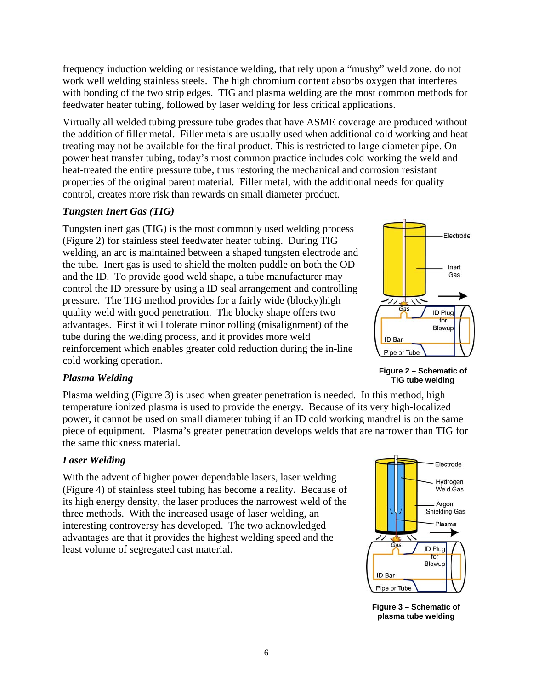frequency induction welding or resistance welding, that rely upon a "mushy" weld zone, do not work well welding stainless steels. The high chromium content absorbs oxygen that interferes with bonding of the two strip edges. TIG and plasma welding are the most common methods for feedwater heater tubing, followed by laser welding for less critical applications.

Virtually all welded tubing pressure tube grades that have ASME coverage are produced without the addition of filler metal. Filler metals are usually used when additional cold working and heat treating may not be available for the final product. This is restricted to large diameter pipe. On power heat transfer tubing, today's most common practice includes cold working the weld and heat-treated the entire pressure tube, thus restoring the mechanical and corrosion resistant properties of the original parent material. Filler metal, with the additional needs for quality control, creates more risk than rewards on small diameter product.

## *Tungsten Inert Gas (TIG)*

Tungsten inert gas (TIG) is the most commonly used welding process (Figure 2) for stainless steel feedwater heater tubing. During TIG welding, an arc is maintained between a shaped tungsten electrode and the tube. Inert gas is used to shield the molten puddle on both the OD and the ID. To provide good weld shape, a tube manufacturer may control the ID pressure by using a ID seal arrangement and controlling pressure. The TIG method provides for a fairly wide (blocky)high quality weld with good penetration. The blocky shape offers two advantages. First it will tolerate minor rolling (misalignment) of the tube during the welding process, and it provides more weld reinforcement which enables greater cold reduction during the in-line cold working operation.



**Figure 2 – Schematic of TIG tube welding** 

## *Plasma Welding*

Plasma welding (Figure 3) is used when greater penetration is needed. In this method, high temperature ionized plasma is used to provide the energy. Because of its very high-localized power, it cannot be used on small diameter tubing if an ID cold working mandrel is on the same piece of equipment. Plasma's greater penetration develops welds that are narrower than TIG for the same thickness material.

## *Laser Welding*

With the advent of higher power dependable lasers, laser welding (Figure 4) of stainless steel tubing has become a reality. Because of its high energy density, the laser produces the narrowest weld of the three methods. With the increased usage of laser welding, an interesting controversy has developed. The two acknowledged advantages are that it provides the highest welding speed and the least volume of segregated cast material.



**Figure 3 – Schematic of plasma tube welding**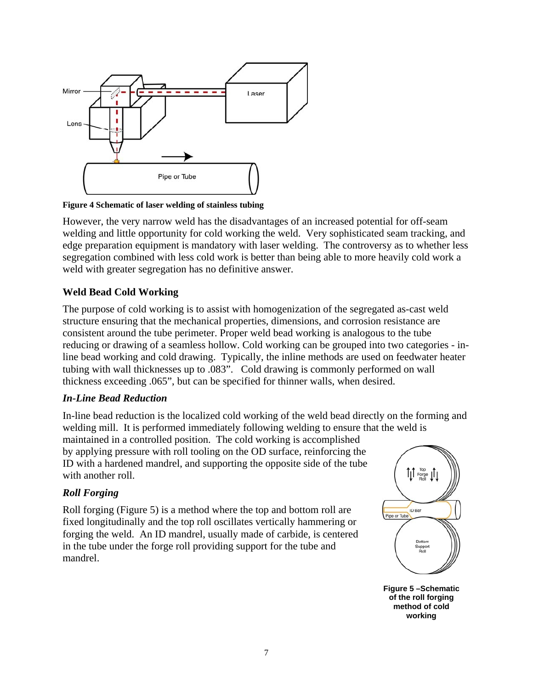

**Figure 4 Schematic of laser welding of stainless tubing** 

However, the very narrow weld has the disadvantages of an increased potential for off-seam welding and little opportunity for cold working the weld. Very sophisticated seam tracking, and edge preparation equipment is mandatory with laser welding. The controversy as to whether less segregation combined with less cold work is better than being able to more heavily cold work a weld with greater segregation has no definitive answer.

## **Weld Bead Cold Working**

The purpose of cold working is to assist with homogenization of the segregated as-cast weld structure ensuring that the mechanical properties, dimensions, and corrosion resistance are consistent around the tube perimeter. Proper weld bead working is analogous to the tube reducing or drawing of a seamless hollow. Cold working can be grouped into two categories - inline bead working and cold drawing. Typically, the inline methods are used on feedwater heater tubing with wall thicknesses up to .083". Cold drawing is commonly performed on wall thickness exceeding .065", but can be specified for thinner walls, when desired.

#### *In-Line Bead Reduction*

In-line bead reduction is the localized cold working of the weld bead directly on the forming and welding mill. It is performed immediately following welding to ensure that the weld is

maintained in a controlled position. The cold working is accomplished by applying pressure with roll tooling on the OD surface, reinforcing the ID with a hardened mandrel, and supporting the opposite side of the tube with another roll.

## *Roll Forging*

Roll forging (Figure 5) is a method where the top and bottom roll are fixed longitudinally and the top roll oscillates vertically hammering or forging the weld. An ID mandrel, usually made of carbide, is centered in the tube under the forge roll providing support for the tube and mandrel.



**Figure 5 –Schematic of the roll forging method of cold working**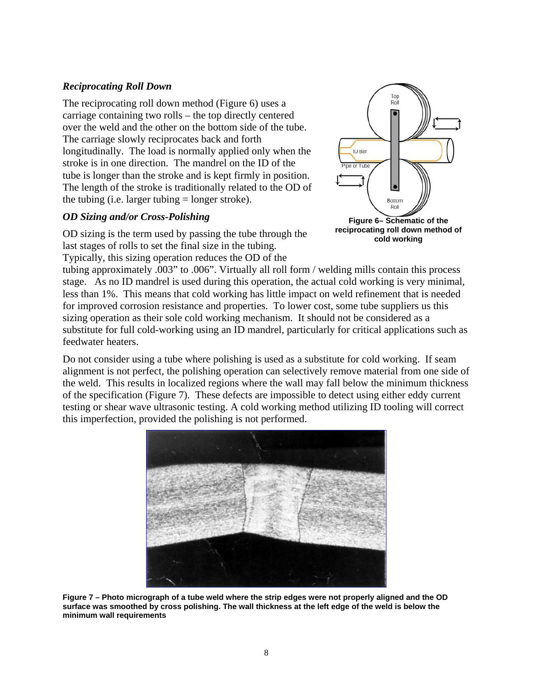## *Reciprocating Roll Down*

The reciprocating roll down method (Figure 6) uses a carriage containing two rolls – the top directly centered over the weld and the other on the bottom side of the tube. The carriage slowly reciprocates back and forth longitudinally. The load is normally applied only when the stroke is in one direction. The mandrel on the ID of the tube is longer than the stroke and is kept firmly in position. The length of the stroke is traditionally related to the OD of the tubing (i.e. larger tubing  $=$  longer stroke).

#### *OD Sizing and/or Cross-Polishing*

OD sizing is the term used by passing the tube through the last stages of rolls to set the final size in the tubing.

Typically, this sizing operation reduces the OD of the



**Figure 6– Schematic of the reciprocating roll down method of cold working**

tubing approximately .003" to .006". Virtually all roll form / welding mills contain this process stage. As no ID mandrel is used during this operation, the actual cold working is very minimal, less than 1%. This means that cold working has little impact on weld refinement that is needed for improved corrosion resistance and properties. To lower cost, some tube suppliers us this sizing operation as their sole cold working mechanism. It should not be considered as a substitute for full cold-working using an ID mandrel, particularly for critical applications such as feedwater heaters.

Do not consider using a tube where polishing is used as a substitute for cold working. If seam alignment is not perfect, the polishing operation can selectively remove material from one side of the weld. This results in localized regions where the wall may fall below the minimum thickness of the specification (Figure 7). These defects are impossible to detect using either eddy current testing or shear wave ultrasonic testing. A cold working method utilizing ID tooling will correct this imperfection, provided the polishing is not performed.



**Figure 7 – Photo micrograph of a tube weld where the strip edges were not properly aligned and the OD surface was smoothed by cross polishing. The wall thickness at the left edge of the weld is below the minimum wall requirements**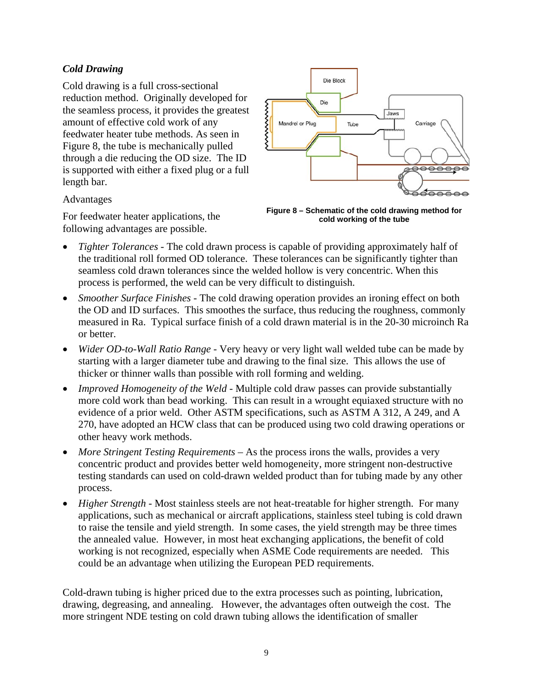# *Cold Drawing*

Cold drawing is a full cross-sectional reduction method. Originally developed for the seamless process, it provides the greatest amount of effective cold work of any feedwater heater tube methods. As seen in Figure 8, the tube is mechanically pulled through a die reducing the OD size. The ID is supported with either a fixed plug or a full length bar.

Advantages

For feedwater heater applications, the following advantages are possible.



**Figure 8 – Schematic of the cold drawing method for cold working of the tube** 

- *Tighter Tolerances* The cold drawn process is capable of providing approximately half of the traditional roll formed OD tolerance. These tolerances can be significantly tighter than seamless cold drawn tolerances since the welded hollow is very concentric. When this process is performed, the weld can be very difficult to distinguish.
- *Smoother Surface Finishes* The cold drawing operation provides an ironing effect on both the OD and ID surfaces. This smoothes the surface, thus reducing the roughness, commonly measured in Ra. Typical surface finish of a cold drawn material is in the 20-30 microinch Ra or better.
- *Wider OD-to-Wall Ratio Range* Very heavy or very light wall welded tube can be made by starting with a larger diameter tube and drawing to the final size. This allows the use of thicker or thinner walls than possible with roll forming and welding.
- *Improved Homogeneity of the Weld* Multiple cold draw passes can provide substantially more cold work than bead working. This can result in a wrought equiaxed structure with no evidence of a prior weld. Other ASTM specifications, such as ASTM A 312, A 249, and A 270, have adopted an HCW class that can be produced using two cold drawing operations or other heavy work methods.
- *More Stringent Testing Requirements* As the process irons the walls, provides a very concentric product and provides better weld homogeneity, more stringent non-destructive testing standards can used on cold-drawn welded product than for tubing made by any other process.
- *Higher Strength* Most stainless steels are not heat-treatable for higher strength. For many applications, such as mechanical or aircraft applications, stainless steel tubing is cold drawn to raise the tensile and yield strength. In some cases, the yield strength may be three times the annealed value. However, in most heat exchanging applications, the benefit of cold working is not recognized, especially when ASME Code requirements are needed. This could be an advantage when utilizing the European PED requirements.

Cold-drawn tubing is higher priced due to the extra processes such as pointing, lubrication, drawing, degreasing, and annealing. However, the advantages often outweigh the cost. The more stringent NDE testing on cold drawn tubing allows the identification of smaller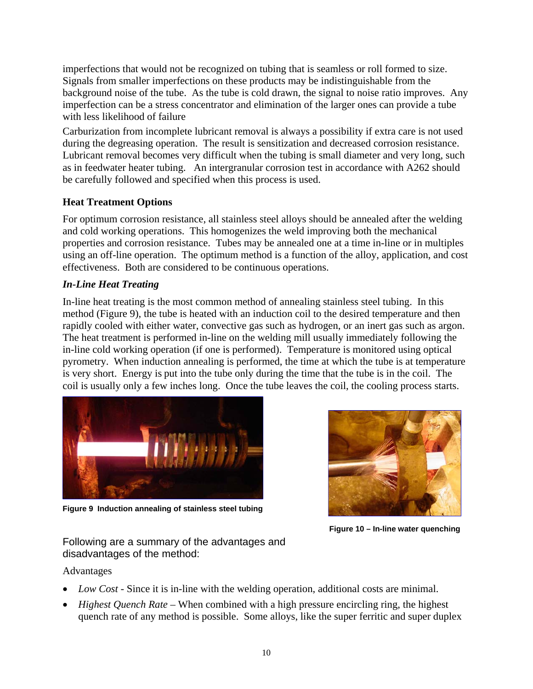imperfections that would not be recognized on tubing that is seamless or roll formed to size. Signals from smaller imperfections on these products may be indistinguishable from the background noise of the tube. As the tube is cold drawn, the signal to noise ratio improves. Any imperfection can be a stress concentrator and elimination of the larger ones can provide a tube with less likelihood of failure

Carburization from incomplete lubricant removal is always a possibility if extra care is not used during the degreasing operation. The result is sensitization and decreased corrosion resistance. Lubricant removal becomes very difficult when the tubing is small diameter and very long, such as in feedwater heater tubing. An intergranular corrosion test in accordance with A262 should be carefully followed and specified when this process is used.

# **Heat Treatment Options**

For optimum corrosion resistance, all stainless steel alloys should be annealed after the welding and cold working operations. This homogenizes the weld improving both the mechanical properties and corrosion resistance. Tubes may be annealed one at a time in-line or in multiples using an off-line operation. The optimum method is a function of the alloy, application, and cost effectiveness. Both are considered to be continuous operations.

# *In-Line Heat Treating*

In-line heat treating is the most common method of annealing stainless steel tubing. In this method (Figure 9), the tube is heated with an induction coil to the desired temperature and then rapidly cooled with either water, convective gas such as hydrogen, or an inert gas such as argon. The heat treatment is performed in-line on the welding mill usually immediately following the in-line cold working operation (if one is performed). Temperature is monitored using optical pyrometry. When induction annealing is performed, the time at which the tube is at temperature is very short. Energy is put into the tube only during the time that the tube is in the coil. The coil is usually only a few inches long. Once the tube leaves the coil, the cooling process starts.



**Figure 9 Induction annealing of stainless steel tubing** 



**Figure 10 – In-line water quenching** 

Following are a summary of the advantages and disadvantages of the method:

## Advantages

- *Low Cost* Since it is in-line with the welding operation, additional costs are minimal.
- *Highest Quench Rate* When combined with a high pressure encircling ring, the highest quench rate of any method is possible. Some alloys, like the super ferritic and super duplex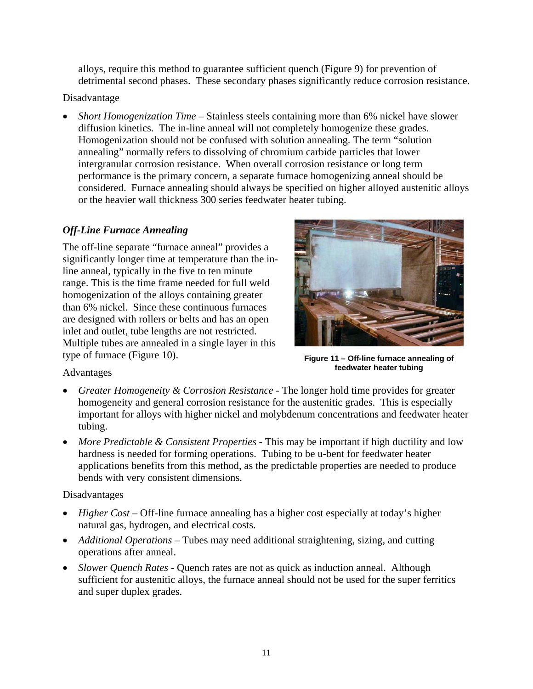alloys, require this method to guarantee sufficient quench (Figure 9) for prevention of detrimental second phases. These secondary phases significantly reduce corrosion resistance.

#### Disadvantage

• *Short Homogenization Time* – Stainless steels containing more than 6% nickel have slower diffusion kinetics. The in-line anneal will not completely homogenize these grades. Homogenization should not be confused with solution annealing. The term "solution annealing" normally refers to dissolving of chromium carbide particles that lower intergranular corrosion resistance. When overall corrosion resistance or long term performance is the primary concern, a separate furnace homogenizing anneal should be considered. Furnace annealing should always be specified on higher alloyed austenitic alloys or the heavier wall thickness 300 series feedwater heater tubing.

## *Off-Line Furnace Annealing*

The off-line separate "furnace anneal" provides a significantly longer time at temperature than the inline anneal, typically in the five to ten minute range. This is the time frame needed for full weld homogenization of the alloys containing greater than 6% nickel. Since these continuous furnaces are designed with rollers or belts and has an open inlet and outlet, tube lengths are not restricted. Multiple tubes are annealed in a single layer in this type of furnace (Figure 10).



**Figure 11 – Off-line furnace annealing of feedwater heater tubing** 

## Advantages

- *Greater Homogeneity & Corrosion Resistance* The longer hold time provides for greater homogeneity and general corrosion resistance for the austenitic grades. This is especially important for alloys with higher nickel and molybdenum concentrations and feedwater heater tubing.
- *More Predictable & Consistent Properties* This may be important if high ductility and low hardness is needed for forming operations. Tubing to be u-bent for feedwater heater applications benefits from this method, as the predictable properties are needed to produce bends with very consistent dimensions.

## Disadvantages

- *Higher Cost* Off-line furnace annealing has a higher cost especially at today's higher natural gas, hydrogen, and electrical costs.
- *Additional Operations* Tubes may need additional straightening, sizing, and cutting operations after anneal.
- *Slower Quench Rates* Quench rates are not as quick as induction anneal. Although sufficient for austenitic alloys, the furnace anneal should not be used for the super ferritics and super duplex grades.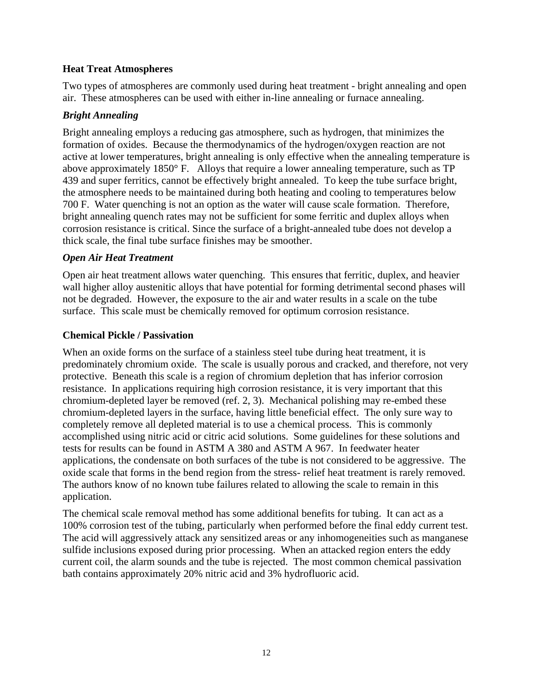#### **Heat Treat Atmospheres**

Two types of atmospheres are commonly used during heat treatment - bright annealing and open air. These atmospheres can be used with either in-line annealing or furnace annealing.

## *Bright Annealing*

Bright annealing employs a reducing gas atmosphere, such as hydrogen, that minimizes the formation of oxides. Because the thermodynamics of the hydrogen/oxygen reaction are not active at lower temperatures, bright annealing is only effective when the annealing temperature is above approximately 1850° F. Alloys that require a lower annealing temperature, such as TP 439 and super ferritics, cannot be effectively bright annealed. To keep the tube surface bright, the atmosphere needs to be maintained during both heating and cooling to temperatures below 700 F. Water quenching is not an option as the water will cause scale formation. Therefore, bright annealing quench rates may not be sufficient for some ferritic and duplex alloys when corrosion resistance is critical. Since the surface of a bright-annealed tube does not develop a thick scale, the final tube surface finishes may be smoother.

#### *Open Air Heat Treatment*

Open air heat treatment allows water quenching. This ensures that ferritic, duplex, and heavier wall higher alloy austenitic alloys that have potential for forming detrimental second phases will not be degraded. However, the exposure to the air and water results in a scale on the tube surface. This scale must be chemically removed for optimum corrosion resistance.

## **Chemical Pickle / Passivation**

When an oxide forms on the surface of a stainless steel tube during heat treatment, it is predominately chromium oxide. The scale is usually porous and cracked, and therefore, not very protective. Beneath this scale is a region of chromium depletion that has inferior corrosion resistance. In applications requiring high corrosion resistance, it is very important that this chromium-depleted layer be removed (ref. 2, 3). Mechanical polishing may re-embed these chromium-depleted layers in the surface, having little beneficial effect. The only sure way to completely remove all depleted material is to use a chemical process. This is commonly accomplished using nitric acid or citric acid solutions. Some guidelines for these solutions and tests for results can be found in ASTM A 380 and ASTM A 967. In feedwater heater applications, the condensate on both surfaces of the tube is not considered to be aggressive. The oxide scale that forms in the bend region from the stress- relief heat treatment is rarely removed. The authors know of no known tube failures related to allowing the scale to remain in this application.

The chemical scale removal method has some additional benefits for tubing. It can act as a 100% corrosion test of the tubing, particularly when performed before the final eddy current test. The acid will aggressively attack any sensitized areas or any inhomogeneities such as manganese sulfide inclusions exposed during prior processing. When an attacked region enters the eddy current coil, the alarm sounds and the tube is rejected. The most common chemical passivation bath contains approximately 20% nitric acid and 3% hydrofluoric acid.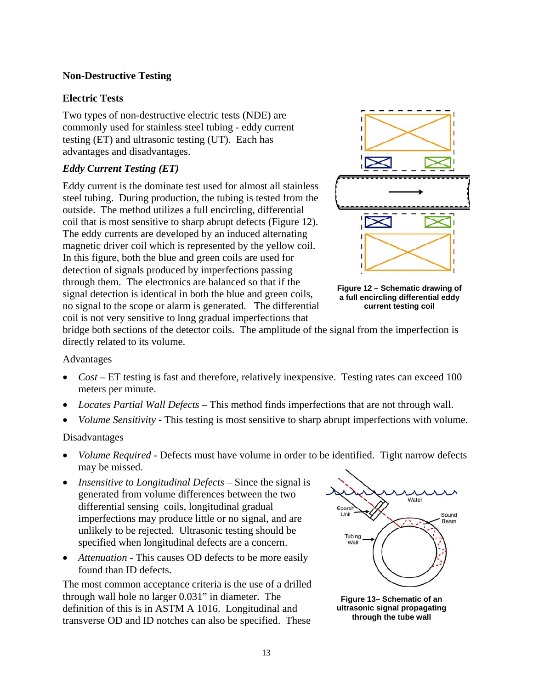## **Non-Destructive Testing**

#### **Electric Tests**

Two types of non-destructive electric tests (NDE) are commonly used for stainless steel tubing - eddy current testing (ET) and ultrasonic testing (UT). Each has advantages and disadvantages.

## *Eddy Current Testing (ET)*

Eddy current is the dominate test used for almost all stainless steel tubing. During production, the tubing is tested from the outside. The method utilizes a full encircling, differential coil that is most sensitive to sharp abrupt defects (Figure 12). The eddy currents are developed by an induced alternating magnetic driver coil which is represented by the yellow coil. In this figure, both the blue and green coils are used for detection of signals produced by imperfections passing through them. The electronics are balanced so that if the signal detection is identical in both the blue and green coils, no signal to the scope or alarm is generated. The differential coil is not very sensitive to long gradual imperfections that



**Figure 12 – Schematic drawing of a full encircling differential eddy current testing coil** 

bridge both sections of the detector coils. The amplitude of the signal from the imperfection is directly related to its volume.

#### Advantages

- *Cost* ET testing is fast and therefore, relatively inexpensive. Testing rates can exceed 100 meters per minute.
- *Locates Partial Wall Defects* This method finds imperfections that are not through wall.
- *Volume Sensitivity* This testing is most sensitive to sharp abrupt imperfections with volume.

#### Disadvantages

- *Volume Required* Defects must have volume in order to be identified. Tight narrow defects may be missed.
- *Insensitive to Longitudinal Defects* Since the signal is generated from volume differences between the two differential sensing coils, longitudinal gradual imperfections may produce little or no signal, and are unlikely to be rejected. Ultrasonic testing should be specified when longitudinal defects are a concern.
- *Attenuation* This causes OD defects to be more easily found than ID defects.

The most common acceptance criteria is the use of a drilled through wall hole no larger 0.031" in diameter. The definition of this is in ASTM A 1016. Longitudinal and transverse OD and ID notches can also be specified. These



**Figure 13– Schematic of an ultrasonic signal propagating through the tube wall**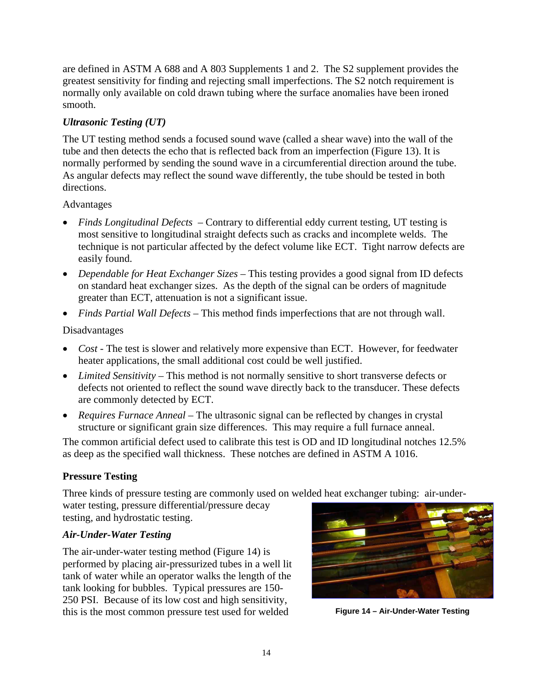are defined in ASTM A 688 and A 803 Supplements 1 and 2. The S2 supplement provides the greatest sensitivity for finding and rejecting small imperfections. The S2 notch requirement is normally only available on cold drawn tubing where the surface anomalies have been ironed smooth.

# *Ultrasonic Testing (UT)*

The UT testing method sends a focused sound wave (called a shear wave) into the wall of the tube and then detects the echo that is reflected back from an imperfection (Figure 13). It is normally performed by sending the sound wave in a circumferential direction around the tube. As angular defects may reflect the sound wave differently, the tube should be tested in both directions.

#### Advantages

- *Finds Longitudinal Defects* Contrary to differential eddy current testing, UT testing is most sensitive to longitudinal straight defects such as cracks and incomplete welds. The technique is not particular affected by the defect volume like ECT. Tight narrow defects are easily found.
- *Dependable for Heat Exchanger Sizes* This testing provides a good signal from ID defects on standard heat exchanger sizes. As the depth of the signal can be orders of magnitude greater than ECT, attenuation is not a significant issue.
- *Finds Partial Wall Defects* This method finds imperfections that are not through wall.

## Disadvantages

- *Cost* The test is slower and relatively more expensive than ECT. However, for feedwater heater applications, the small additional cost could be well justified.
- *Limited Sensitivity* This method is not normally sensitive to short transverse defects or defects not oriented to reflect the sound wave directly back to the transducer. These defects are commonly detected by ECT.
- *Requires Furnace Anneal* The ultrasonic signal can be reflected by changes in crystal structure or significant grain size differences. This may require a full furnace anneal.

The common artificial defect used to calibrate this test is OD and ID longitudinal notches 12.5% as deep as the specified wall thickness. These notches are defined in ASTM A 1016.

## **Pressure Testing**

Three kinds of pressure testing are commonly used on welded heat exchanger tubing: air-underwater testing, pressure differential/pressure decay

testing, and hydrostatic testing.

## *Air-Under-Water Testing*

The air-under-water testing method (Figure 14) is performed by placing air-pressurized tubes in a well lit tank of water while an operator walks the length of the tank looking for bubbles. Typical pressures are 150- 250 PSI. Because of its low cost and high sensitivity, this is the most common pressure test used for welded **Figure 14 – Air-Under-Water Testing** 

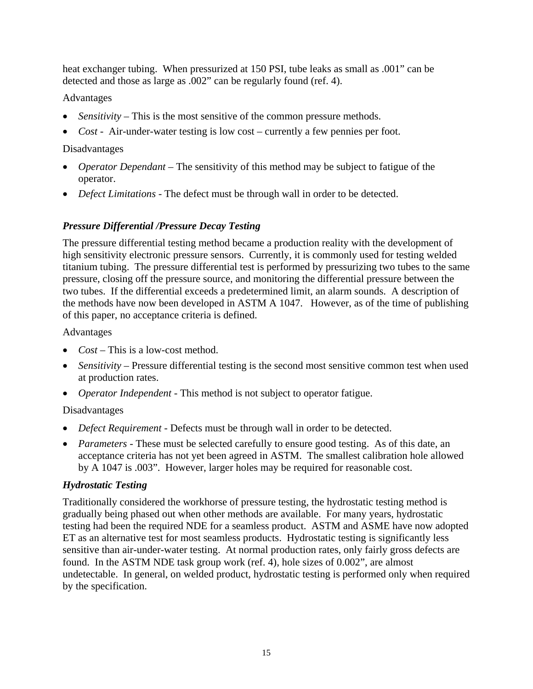heat exchanger tubing. When pressurized at 150 PSI, tube leaks as small as .001" can be detected and those as large as .002" can be regularly found (ref. 4).

# Advantages

- *Sensitivity* This is the most sensitive of the common pressure methods.
- *Cost* Air-under-water testing is low cost currently a few pennies per foot.

# Disadvantages

- *Operator Dependant* The sensitivity of this method may be subject to fatigue of the operator.
- *Defect Limitations* The defect must be through wall in order to be detected.

# *Pressure Differential /Pressure Decay Testing*

The pressure differential testing method became a production reality with the development of high sensitivity electronic pressure sensors. Currently, it is commonly used for testing welded titanium tubing. The pressure differential test is performed by pressurizing two tubes to the same pressure, closing off the pressure source, and monitoring the differential pressure between the two tubes. If the differential exceeds a predetermined limit, an alarm sounds. A description of the methods have now been developed in ASTM A 1047. However, as of the time of publishing of this paper, no acceptance criteria is defined.

# Advantages

- *Cost* This is a low-cost method.
- *Sensitivity* Pressure differential testing is the second most sensitive common test when used at production rates.
- *Operator Independent* This method is not subject to operator fatigue.

## Disadvantages

- *Defect Requirement* Defects must be through wall in order to be detected.
- *Parameters* These must be selected carefully to ensure good testing. As of this date, an acceptance criteria has not yet been agreed in ASTM. The smallest calibration hole allowed by A 1047 is .003". However, larger holes may be required for reasonable cost.

# *Hydrostatic Testing*

Traditionally considered the workhorse of pressure testing, the hydrostatic testing method is gradually being phased out when other methods are available. For many years, hydrostatic testing had been the required NDE for a seamless product. ASTM and ASME have now adopted ET as an alternative test for most seamless products. Hydrostatic testing is significantly less sensitive than air-under-water testing. At normal production rates, only fairly gross defects are found. In the ASTM NDE task group work (ref. 4), hole sizes of 0.002", are almost undetectable. In general, on welded product, hydrostatic testing is performed only when required by the specification.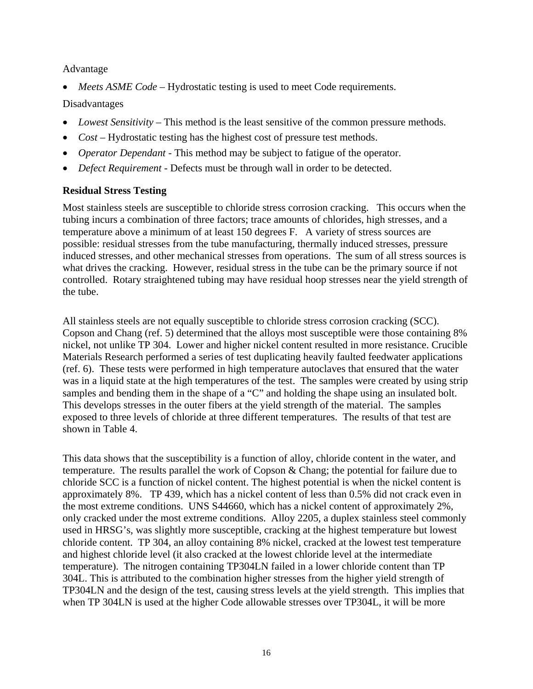#### Advantage

• *Meets ASME Code* – Hydrostatic testing is used to meet Code requirements.

#### Disadvantages

- *Lowest Sensitivity* This method is the least sensitive of the common pressure methods.
- *Cost* Hydrostatic testing has the highest cost of pressure test methods.
- *Operator Dependant* This method may be subject to fatigue of the operator.
- *Defect Requirement* Defects must be through wall in order to be detected.

#### **Residual Stress Testing**

Most stainless steels are susceptible to chloride stress corrosion cracking. This occurs when the tubing incurs a combination of three factors; trace amounts of chlorides, high stresses, and a temperature above a minimum of at least 150 degrees F. A variety of stress sources are possible: residual stresses from the tube manufacturing, thermally induced stresses, pressure induced stresses, and other mechanical stresses from operations. The sum of all stress sources is what drives the cracking. However, residual stress in the tube can be the primary source if not controlled. Rotary straightened tubing may have residual hoop stresses near the yield strength of the tube.

All stainless steels are not equally susceptible to chloride stress corrosion cracking (SCC). Copson and Chang (ref. 5) determined that the alloys most susceptible were those containing 8% nickel, not unlike TP 304. Lower and higher nickel content resulted in more resistance. Crucible Materials Research performed a series of test duplicating heavily faulted feedwater applications (ref. 6). These tests were performed in high temperature autoclaves that ensured that the water was in a liquid state at the high temperatures of the test. The samples were created by using strip samples and bending them in the shape of a "C" and holding the shape using an insulated bolt. This develops stresses in the outer fibers at the yield strength of the material. The samples exposed to three levels of chloride at three different temperatures. The results of that test are shown in Table 4.

This data shows that the susceptibility is a function of alloy, chloride content in the water, and temperature. The results parallel the work of Copson & Chang; the potential for failure due to chloride SCC is a function of nickel content. The highest potential is when the nickel content is approximately 8%. TP 439, which has a nickel content of less than 0.5% did not crack even in the most extreme conditions. UNS S44660, which has a nickel content of approximately 2%, only cracked under the most extreme conditions. Alloy 2205, a duplex stainless steel commonly used in HRSG's, was slightly more susceptible, cracking at the highest temperature but lowest chloride content. TP 304, an alloy containing 8% nickel, cracked at the lowest test temperature and highest chloride level (it also cracked at the lowest chloride level at the intermediate temperature). The nitrogen containing TP304LN failed in a lower chloride content than TP 304L. This is attributed to the combination higher stresses from the higher yield strength of TP304LN and the design of the test, causing stress levels at the yield strength. This implies that when TP 304LN is used at the higher Code allowable stresses over TP304L, it will be more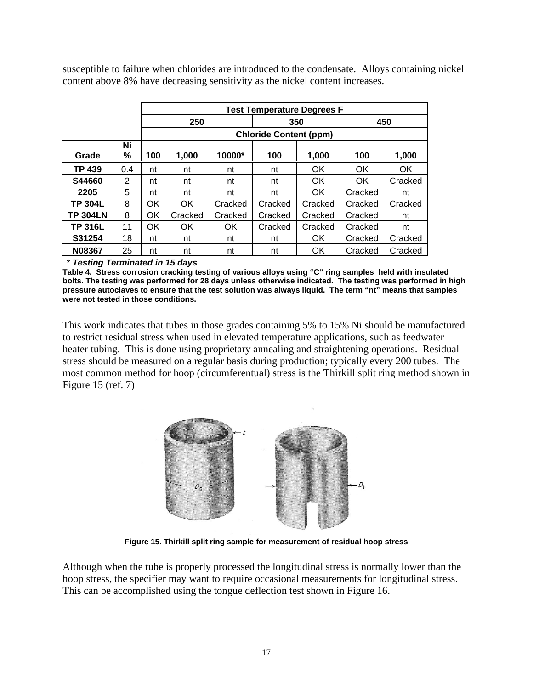susceptible to failure when chlorides are introduced to the condensate. Alloys containing nickel content above 8% have decreasing sensitivity as the nickel content increases.

|                 |         | <b>Test Temperature Degrees F</b> |                               |          |         |         |         |         |
|-----------------|---------|-----------------------------------|-------------------------------|----------|---------|---------|---------|---------|
|                 |         | 250                               |                               |          | 350     |         | 450     |         |
|                 |         |                                   | <b>Chloride Content (ppm)</b> |          |         |         |         |         |
| Grade           | Ni<br>% | 100                               | 1,000                         | $10000*$ | 100     | 1,000   | 100     | 1,000   |
| <b>TP 439</b>   | 0.4     | nt                                | nt                            | nt       | nt      | OK      | OK      | OK      |
| S44660          | 2       | nt                                | nt                            | nt       | nt      | OK.     | OK      | Cracked |
| 2205            | 5       | nt                                | nt                            | nt       | nt      | OK      | Cracked | nt      |
| <b>TP 304L</b>  | 8       | OK                                | OK.                           | Cracked  | Cracked | Cracked | Cracked | Cracked |
| <b>TP 304LN</b> | 8       | OK                                | Cracked                       | Cracked  | Cracked | Cracked | Cracked | nt      |
| <b>TP 316L</b>  | 11      | OK                                | OK.                           | OK.      | Cracked | Cracked | Cracked | nt      |
| S31254          | 18      | nt                                | nt                            | nt       | nt      | OK.     | Cracked | Cracked |
| N08367          | 25      | nt                                | nt                            | nt       | nt      | OK      | Cracked | Cracked |

\* *Testing Terminated in 15 days*

**Table 4. Stress corrosion cracking testing of various alloys using "C" ring samples held with insulated bolts. The testing was performed for 28 days unless otherwise indicated. The testing was performed in high pressure autoclaves to ensure that the test solution was always liquid. The term "nt" means that samples were not tested in those conditions.** 

This work indicates that tubes in those grades containing 5% to 15% Ni should be manufactured to restrict residual stress when used in elevated temperature applications, such as feedwater heater tubing. This is done using proprietary annealing and straightening operations. Residual stress should be measured on a regular basis during production; typically every 200 tubes. The most common method for hoop (circumferentual) stress is the Thirkill split ring method shown in Figure 15 (ref. 7)



**Figure 15. Thirkill split ring sample for measurement of residual hoop stress** 

Although when the tube is properly processed the longitudinal stress is normally lower than the hoop stress, the specifier may want to require occasional measurements for longitudinal stress. This can be accomplished using the tongue deflection test shown in Figure 16.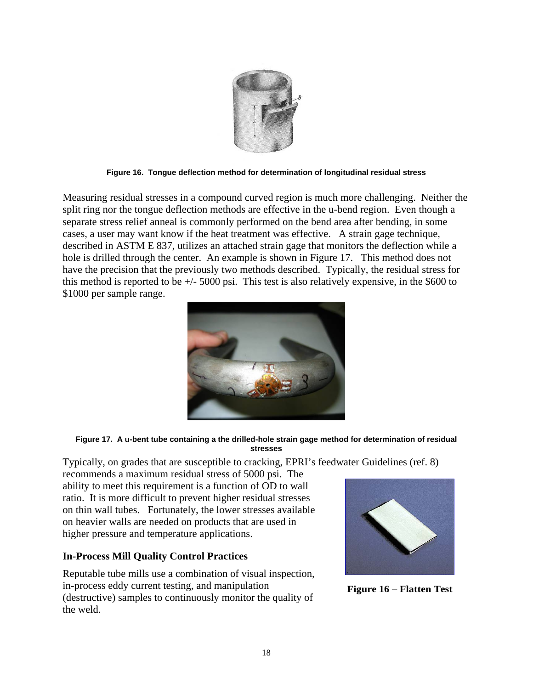

**Figure 16. Tongue deflection method for determination of longitudinal residual stress** 

Measuring residual stresses in a compound curved region is much more challenging. Neither the split ring nor the tongue deflection methods are effective in the u-bend region. Even though a separate stress relief anneal is commonly performed on the bend area after bending, in some cases, a user may want know if the heat treatment was effective. A strain gage technique, described in ASTM E 837, utilizes an attached strain gage that monitors the deflection while a hole is drilled through the center. An example is shown in Figure 17. This method does not have the precision that the previously two methods described. Typically, the residual stress for this method is reported to be  $+/-5000$  psi. This test is also relatively expensive, in the \$600 to \$1000 per sample range.



#### **Figure 17. A u-bent tube containing a the drilled-hole strain gage method for determination of residual stresses**

Typically, on grades that are susceptible to cracking, EPRI's feedwater Guidelines (ref. 8)

recommends a maximum residual stress of 5000 psi. The ability to meet this requirement is a function of OD to wall ratio. It is more difficult to prevent higher residual stresses on thin wall tubes. Fortunately, the lower stresses available on heavier walls are needed on products that are used in higher pressure and temperature applications.

## **In-Process Mill Quality Control Practices**

Reputable tube mills use a combination of visual inspection, in-process eddy current testing, and manipulation (destructive) samples to continuously monitor the quality of the weld.



**Figure 16 – Flatten Test**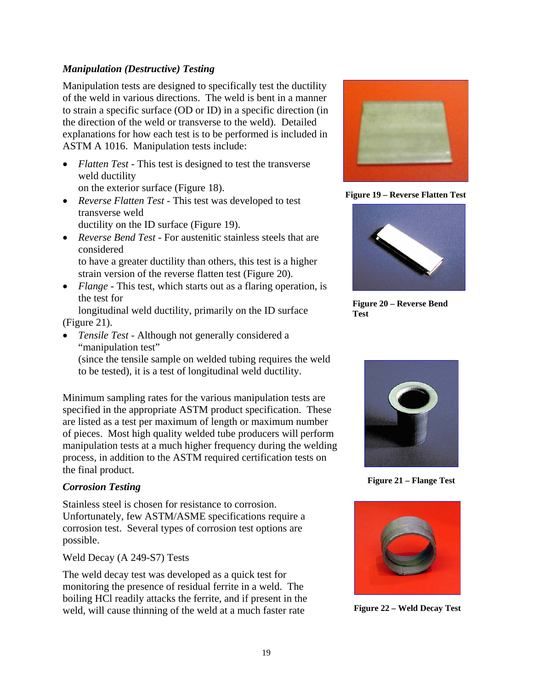#### *Manipulation (Destructive) Testing*

Manipulation tests are designed to specifically test the ductility of the weld in various directions. The weld is bent in a manner to strain a specific surface (OD or ID) in a specific direction (in the direction of the weld or transverse to the weld). Detailed explanations for how each test is to be performed is included in ASTM A 1016. Manipulation tests include:

- *Flatten Test* This test is designed to test the transverse weld ductility on the exterior surface (Figure 18).
- *Reverse Flatten Test* This test was developed to test transverse weld ductility on the ID surface (Figure 19).
- *Reverse Bend Test* For austenitic stainless steels that are considered to have a greater ductility than others, this test is a higher strain version of the reverse flatten test (Figure 20).
- *Flange* This test, which starts out as a flaring operation, is the test for

longitudinal weld ductility, primarily on the ID surface (Figure 21).

• *Tensile Test* - Although not generally considered a "manipulation test"

(since the tensile sample on welded tubing requires the weld to be tested), it is a test of longitudinal weld ductility.

Minimum sampling rates for the various manipulation tests are specified in the appropriate ASTM product specification. These are listed as a test per maximum of length or maximum number of pieces. Most high quality welded tube producers will perform manipulation tests at a much higher frequency during the welding process, in addition to the ASTM required certification tests on the final product.

## *Corrosion Testing*

Stainless steel is chosen for resistance to corrosion. Unfortunately, few ASTM/ASME specifications require a corrosion test. Several types of corrosion test options are possible.

Weld Decay (A 249-S7) Tests

The weld decay test was developed as a quick test for monitoring the presence of residual ferrite in a weld. The boiling HCl readily attacks the ferrite, and if present in the weld, will cause thinning of the weld at a much faster rate



**Figure 19 – Reverse Flatten Test** 



**Figure 20 – Reverse Bend Test** 



**Figure 21 – Flange Test** 



**Figure 22 – Weld Decay Test**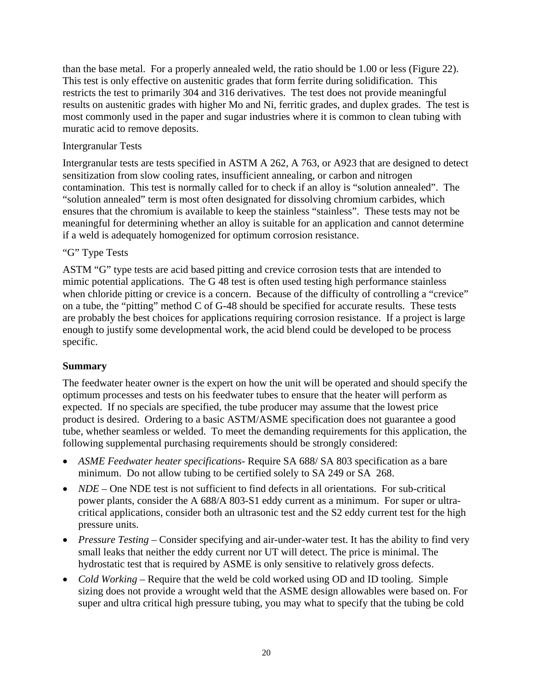than the base metal. For a properly annealed weld, the ratio should be 1.00 or less (Figure 22). This test is only effective on austenitic grades that form ferrite during solidification. This restricts the test to primarily 304 and 316 derivatives. The test does not provide meaningful results on austenitic grades with higher Mo and Ni, ferritic grades, and duplex grades. The test is most commonly used in the paper and sugar industries where it is common to clean tubing with muratic acid to remove deposits.

#### Intergranular Tests

Intergranular tests are tests specified in ASTM A 262, A 763, or A923 that are designed to detect sensitization from slow cooling rates, insufficient annealing, or carbon and nitrogen contamination. This test is normally called for to check if an alloy is "solution annealed". The "solution annealed" term is most often designated for dissolving chromium carbides, which ensures that the chromium is available to keep the stainless "stainless". These tests may not be meaningful for determining whether an alloy is suitable for an application and cannot determine if a weld is adequately homogenized for optimum corrosion resistance.

#### "G" Type Tests

ASTM "G" type tests are acid based pitting and crevice corrosion tests that are intended to mimic potential applications. The G 48 test is often used testing high performance stainless when chloride pitting or crevice is a concern. Because of the difficulty of controlling a "crevice" on a tube, the "pitting" method C of G-48 should be specified for accurate results. These tests are probably the best choices for applications requiring corrosion resistance. If a project is large enough to justify some developmental work, the acid blend could be developed to be process specific.

## **Summary**

The feedwater heater owner is the expert on how the unit will be operated and should specify the optimum processes and tests on his feedwater tubes to ensure that the heater will perform as expected. If no specials are specified, the tube producer may assume that the lowest price product is desired. Ordering to a basic ASTM/ASME specification does not guarantee a good tube, whether seamless or welded. To meet the demanding requirements for this application, the following supplemental purchasing requirements should be strongly considered:

- *ASME Feedwater heater specifications-* Require SA 688/ SA 803 specification as a bare minimum. Do not allow tubing to be certified solely to SA 249 or SA 268.
- *NDE* One NDE test is not sufficient to find defects in all orientations. For sub-critical power plants, consider the A 688/A 803-S1 eddy current as a minimum. For super or ultracritical applications, consider both an ultrasonic test and the S2 eddy current test for the high pressure units.
- *Pressure Testing Consider specifying and air-under-water test. It has the ability to find very* small leaks that neither the eddy current nor UT will detect. The price is minimal. The hydrostatic test that is required by ASME is only sensitive to relatively gross defects.
- *Cold Working –* Require that the weld be cold worked using OD and ID tooling. Simple sizing does not provide a wrought weld that the ASME design allowables were based on. For super and ultra critical high pressure tubing, you may what to specify that the tubing be cold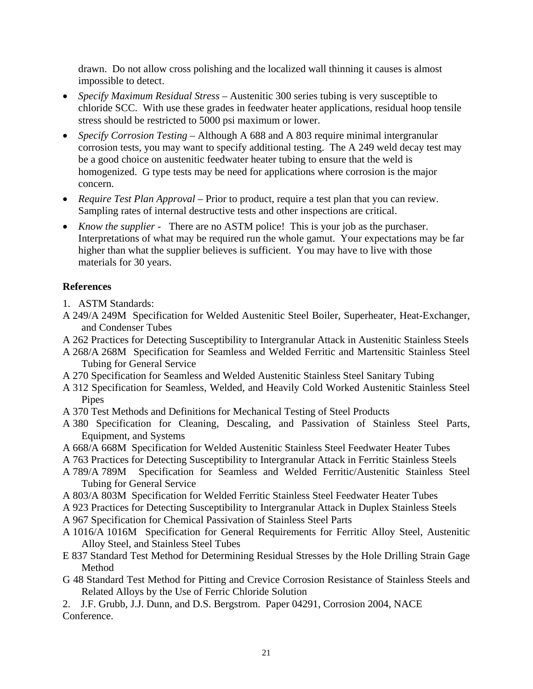drawn. Do not allow cross polishing and the localized wall thinning it causes is almost impossible to detect.

- *Specify Maximum Residual Stress –* Austenitic 300 series tubing is very susceptible to chloride SCC. With use these grades in feedwater heater applications, residual hoop tensile stress should be restricted to 5000 psi maximum or lower.
- *Specify Corrosion Testing* Although A 688 and A 803 require minimal intergranular corrosion tests, you may want to specify additional testing. The A 249 weld decay test may be a good choice on austenitic feedwater heater tubing to ensure that the weld is homogenized. G type tests may be need for applications where corrosion is the major concern.
- *Require Test Plan Approval* Prior to product, require a test plan that you can review. Sampling rates of internal destructive tests and other inspections are critical.
- *Know the supplier* There are no ASTM police! This is your job as the purchaser. Interpretations of what may be required run the whole gamut. Your expectations may be far higher than what the supplier believes is sufficient. You may have to live with those materials for 30 years.

## **References**

- 1. ASTM Standards:
- A 249/A 249M Specification for Welded Austenitic Steel Boiler, Superheater, Heat-Exchanger, and Condenser Tubes
- A 262 Practices for Detecting Susceptibility to Intergranular Attack in Austenitic Stainless Steels
- A 268/A 268M Specification for Seamless and Welded Ferritic and Martensitic Stainless Steel Tubing for General Service
- A 270 Specification for Seamless and Welded Austenitic Stainless Steel Sanitary Tubing
- A 312 Specification for Seamless, Welded, and Heavily Cold Worked Austenitic Stainless Steel Pipes
- A 370 Test Methods and Definitions for Mechanical Testing of Steel Products
- A 380 Specification for Cleaning, Descaling, and Passivation of Stainless Steel Parts, Equipment, and Systems
- A 668/A 668M Specification for Welded Austenitic Stainless Steel Feedwater Heater Tubes
- A 763 Practices for Detecting Susceptibility to Intergranular Attack in Ferritic Stainless Steels
- A 789/A 789M Specification for Seamless and Welded Ferritic/Austenitic Stainless Steel Tubing for General Service
- A 803/A 803M Specification for Welded Ferritic Stainless Steel Feedwater Heater Tubes
- A 923 Practices for Detecting Susceptibility to Intergranular Attack in Duplex Stainless Steels
- A 967 Specification for Chemical Passivation of Stainless Steel Parts
- A 1016/A 1016M Specification for General Requirements for Ferritic Alloy Steel, Austenitic Alloy Steel, and Stainless Steel Tubes
- E 837 Standard Test Method for Determining Residual Stresses by the Hole Drilling Strain Gage Method
- G 48 Standard Test Method for Pitting and Crevice Corrosion Resistance of Stainless Steels and Related Alloys by the Use of Ferric Chloride Solution

2. J.F. Grubb, J.J. Dunn, and D.S. Bergstrom. Paper 04291, Corrosion 2004, NACE Conference.